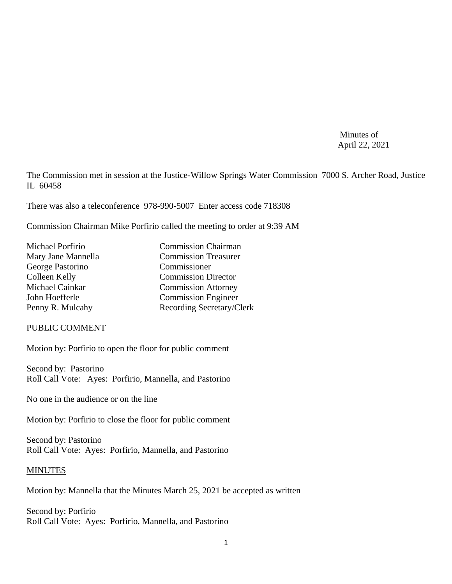Minutes of April 22, 2021

The Commission met in session at the Justice-Willow Springs Water Commission 7000 S. Archer Road, Justice IL 60458

There was also a teleconference 978-990-5007 Enter access code 718308

Commission Chairman Mike Porfirio called the meeting to order at 9:39 AM

| Michael Porfirio   | <b>Commission Chairman</b>  |
|--------------------|-----------------------------|
| Mary Jane Mannella | <b>Commission Treasurer</b> |
| George Pastorino   | Commissioner                |
| Colleen Kelly      | <b>Commission Director</b>  |
| Michael Cainkar    | <b>Commission Attorney</b>  |
| John Hoefferle     | <b>Commission Engineer</b>  |
| Penny R. Mulcahy   | Recording Secretary/Clerk   |

#### PUBLIC COMMENT

Motion by: Porfirio to open the floor for public comment

Second by: Pastorino Roll Call Vote: Ayes: Porfirio, Mannella, and Pastorino

No one in the audience or on the line

Motion by: Porfirio to close the floor for public comment

Second by: Pastorino Roll Call Vote: Ayes: Porfirio, Mannella, and Pastorino

### MINUTES

Motion by: Mannella that the Minutes March 25, 2021 be accepted as written

Second by: Porfirio Roll Call Vote: Ayes: Porfirio, Mannella, and Pastorino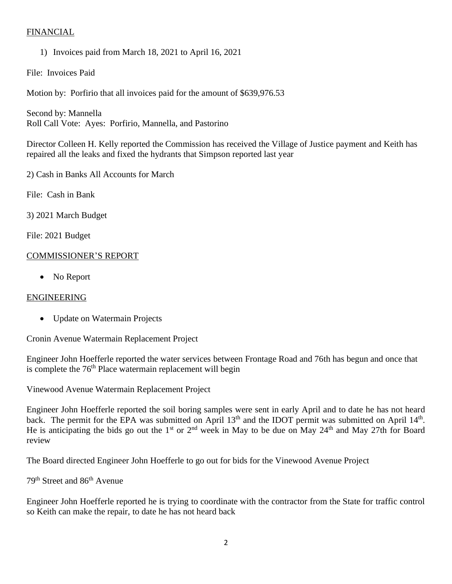# FINANCIAL

1) Invoices paid from March 18, 2021 to April 16, 2021

File: Invoices Paid

Motion by: Porfirio that all invoices paid for the amount of \$639,976.53

Second by: Mannella Roll Call Vote: Ayes: Porfirio, Mannella, and Pastorino

Director Colleen H. Kelly reported the Commission has received the Village of Justice payment and Keith has repaired all the leaks and fixed the hydrants that Simpson reported last year

2) Cash in Banks All Accounts for March

File: Cash in Bank

3) 2021 March Budget

File: 2021 Budget

# COMMISSIONER'S REPORT

• No Report

### ENGINEERING

• Update on Watermain Projects

Cronin Avenue Watermain Replacement Project

Engineer John Hoefferle reported the water services between Frontage Road and 76th has begun and once that is complete the  $76<sup>th</sup>$  Place watermain replacement will begin

Vinewood Avenue Watermain Replacement Project

Engineer John Hoefferle reported the soil boring samples were sent in early April and to date he has not heard back. The permit for the EPA was submitted on April  $13<sup>th</sup>$  and the IDOT permit was submitted on April  $14<sup>th</sup>$ . He is anticipating the bids go out the 1<sup>st</sup> or 2<sup>nd</sup> week in May to be due on May 24<sup>th</sup> and May 27th for Board review

The Board directed Engineer John Hoefferle to go out for bids for the Vinewood Avenue Project

79th Street and 86th Avenue

Engineer John Hoefferle reported he is trying to coordinate with the contractor from the State for traffic control so Keith can make the repair, to date he has not heard back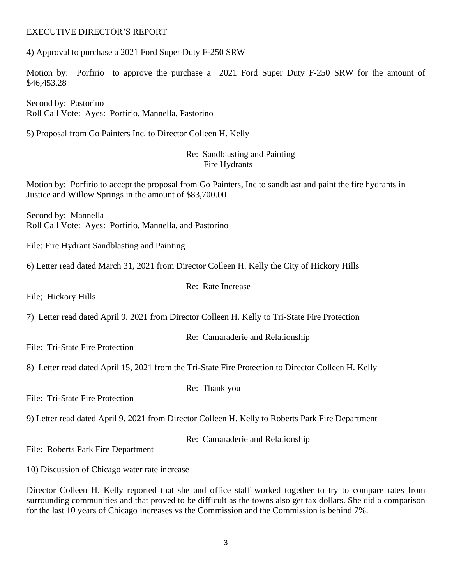### EXECUTIVE DIRECTOR'S REPORT

4) Approval to purchase a 2021 Ford Super Duty F-250 SRW

Motion by: Porfirio to approve the purchase a 2021 Ford Super Duty F-250 SRW for the amount of \$46,453.28

Second by: Pastorino Roll Call Vote: Ayes: Porfirio, Mannella, Pastorino

5) Proposal from Go Painters Inc. to Director Colleen H. Kelly

### Re: Sandblasting and Painting Fire Hydrants

Motion by: Porfirio to accept the proposal from Go Painters, Inc to sandblast and paint the fire hydrants in Justice and Willow Springs in the amount of \$83,700.00

Second by: Mannella Roll Call Vote: Ayes: Porfirio, Mannella, and Pastorino

File: Fire Hydrant Sandblasting and Painting

6) Letter read dated March 31, 2021 from Director Colleen H. Kelly the City of Hickory Hills

File; Hickory Hills

7) Letter read dated April 9. 2021 from Director Colleen H. Kelly to Tri-State Fire Protection

Re: Camaraderie and Relationship

File: Tri-State Fire Protection

8) Letter read dated April 15, 2021 from the Tri-State Fire Protection to Director Colleen H. Kelly

File: Tri-State Fire Protection

9) Letter read dated April 9. 2021 from Director Colleen H. Kelly to Roberts Park Fire Department

Re: Camaraderie and Relationship

File: Roberts Park Fire Department

10) Discussion of Chicago water rate increase

Director Colleen H. Kelly reported that she and office staff worked together to try to compare rates from surrounding communities and that proved to be difficult as the towns also get tax dollars. She did a comparison for the last 10 years of Chicago increases vs the Commission and the Commission is behind 7%.

Re: Thank you

# Re: Rate Increase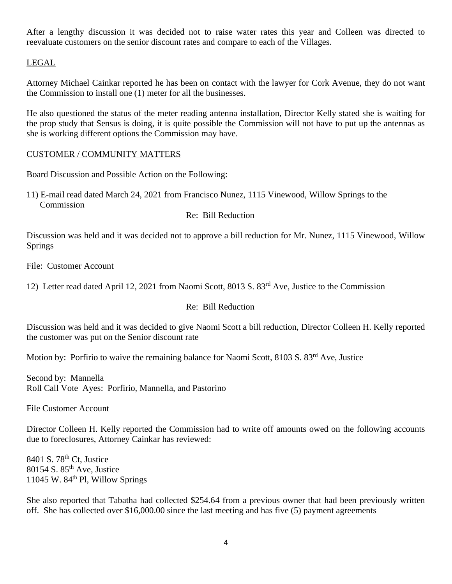After a lengthy discussion it was decided not to raise water rates this year and Colleen was directed to reevaluate customers on the senior discount rates and compare to each of the Villages.

# LEGAL

Attorney Michael Cainkar reported he has been on contact with the lawyer for Cork Avenue, they do not want the Commission to install one (1) meter for all the businesses.

He also questioned the status of the meter reading antenna installation, Director Kelly stated she is waiting for the prop study that Sensus is doing, it is quite possible the Commission will not have to put up the antennas as she is working different options the Commission may have.

# CUSTOMER / COMMUNITY MATTERS

Board Discussion and Possible Action on the Following:

11) E-mail read dated March 24, 2021 from Francisco Nunez, 1115 Vinewood, Willow Springs to the Commission

Re: Bill Reduction

Discussion was held and it was decided not to approve a bill reduction for Mr. Nunez, 1115 Vinewood, Willow Springs

File: Customer Account

12) Letter read dated April 12, 2021 from Naomi Scott, 8013 S. 83rd Ave, Justice to the Commission

### Re: Bill Reduction

Discussion was held and it was decided to give Naomi Scott a bill reduction, Director Colleen H. Kelly reported the customer was put on the Senior discount rate

Motion by: Porfirio to waive the remaining balance for Naomi Scott, 8103 S. 83<sup>rd</sup> Ave, Justice

Second by: Mannella Roll Call Vote Ayes: Porfirio, Mannella, and Pastorino

File Customer Account

Director Colleen H. Kelly reported the Commission had to write off amounts owed on the following accounts due to foreclosures, Attorney Cainkar has reviewed:

8401 S. 78<sup>th</sup> Ct, Justice  $80154$  S.  $85<sup>th</sup>$  Ave, Justice 11045 W.  $84<sup>th</sup>$  Pl, Willow Springs

She also reported that Tabatha had collected \$254.64 from a previous owner that had been previously written off. She has collected over \$16,000.00 since the last meeting and has five (5) payment agreements